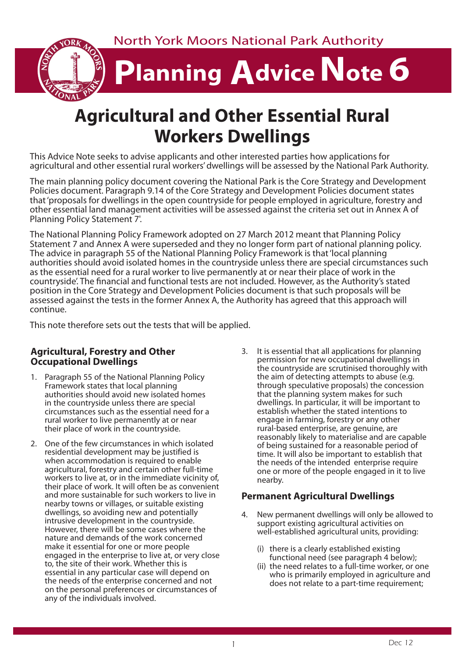North York Moors National Park Authority **Planning Advice Note 6** 

# **Agricultural and Other Essential Rural Workers Dwellings**

This Advice Note seeks to advise applicants and other interested parties how applications for agricultural and other essential rural workers' dwellings will be assessed by the National Park Authority.

The main planning policy document covering the National Park is the Core Strategy and Development Policies document. Paragraph 9.14 of the Core Strategy and Development Policies document states that 'proposals for dwellings in the open countryside for people employed in agriculture, forestry and other essential land management activities will be assessed against the criteria set out in Annex A of Planning Policy Statement 7'.

The National Planning Policy Framework adopted on 27 March 2012 meant that Planning Policy Statement 7 and Annex A were superseded and they no longer form part of national planning policy. The advice in paragraph 55 of the National Planning Policy Framework is that 'local planning authorities should avoid isolated homes in the countryside unless there are special circumstances such as the essential need for a rural worker to live permanently at or near their place of work in the countryside'. The financial and functional tests are not included. However, as the Authority's stated position in the Core Strategy and Development Policies document is that such proposals will be assessed against the tests in the former Annex A, the Authority has agreed that this approach will continue.

This note therefore sets out the tests that will be applied.

#### **Agricultural, Forestry and Other Occupational Dwellings**

- 1. Paragraph 55 of the National Planning Policy Framework states that local planning authorities should avoid new isolated homes in the countryside unless there are special circumstances such as the essential need for a rural worker to live permanently at or near their place of work in the countryside.
- 2. One of the few circumstances in which isolated residential development may be justified is when accommodation is required to enable agricultural, forestry and certain other full-time workers to live at, or in the immediate vicinity of, their place of work. It will often be as convenient and more sustainable for such workers to live in nearby towns or villages, or suitable existing dwellings, so avoiding new and potentially intrusive development in the countryside. However, there will be some cases where the nature and demands of the work concerned make it essential for one or more people engaged in the enterprise to live at, or very close to, the site of their work. Whether this is essential in any particular case will depend on the needs of the enterprise concerned and not on the personal preferences or circumstances of any of the individuals involved.
- 3. It is essential that all applications for planning permission for new occupational dwellings in the countryside are scrutinised thoroughly with the aim of detecting attempts to abuse (e.g. through speculative proposals) the concession that the planning system makes for such dwellings. In particular, it will be important to establish whether the stated intentions to engage in farming, forestry or any other rural-based enterprise, are genuine, are reasonably likely to materialise and are capable of being sustained for a reasonable period of time. It will also be important to establish that the needs of the intended enterprise require one or more of the people engaged in it to live nearby.

#### **Permanent Agricultural Dwellings**

- 4. New permanent dwellings will only be allowed to support existing agricultural activities on well-established agricultural units, providing:
	- (i) there is a clearly established existing functional need (see paragraph 4 below);
	- (ii) the need relates to a full-time worker, or one who is primarily employed in agriculture and does not relate to a part-time requirement;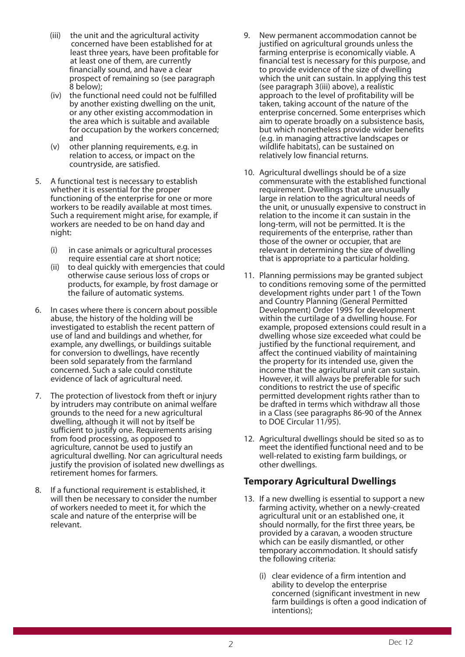- (iii) the unit and the agricultural activity concerned have been established for at least three years, have been profitable for at least one of them, are currently financially sound, and have a clear prospect of remaining so (see paragraph 8 below);
- (iv) the functional need could not be fulfilled by another existing dwelling on the unit, or any other existing accommodation in the area which is suitable and available for occupation by the workers concerned; and
- (v) other planning requirements, e.g. in relation to access, or impact on the countryside, are satisfied.
- 5. A functional test is necessary to establish whether it is essential for the proper functioning of the enterprise for one or more workers to be readily available at most times. Such a requirement might arise, for example, if workers are needed to be on hand day and night:
	- (i) in case animals or agricultural processes require essential care at short notice;
	- (ii) to deal quickly with emergencies that could otherwise cause serious loss of crops or products, for example, by frost damage or the failure of automatic systems.
- 6. In cases where there is concern about possible abuse, the history of the holding will be investigated to establish the recent pattern of use of land and buildings and whether, for example, any dwellings, or buildings suitable for conversion to dwellings, have recently been sold separately from the farmland concerned. Such a sale could constitute evidence of lack of agricultural need.
- 7. The protection of livestock from theft or injury by intruders may contribute on animal welfare grounds to the need for a new agricultural dwelling, although it will not by itself be sufficient to justify one. Requirements arising from food processing, as opposed to agriculture, cannot be used to justify an agricultural dwelling. Nor can agricultural needs justify the provision of isolated new dwellings as retirement homes for farmers.
- 8. If a functional requirement is established, it will then be necessary to consider the number of workers needed to meet it, for which the scale and nature of the enterprise will be relevant.
- 9. New permanent accommodation cannot be justified on agricultural grounds unless the farming enterprise is economically viable. A financial test is necessary for this purpose, and to provide evidence of the size of dwelling which the unit can sustain. In applying this test (see paragraph 3(iii) above), a realistic approach to the level of profitability will be taken, taking account of the nature of the enterprise concerned. Some enterprises which aim to operate broadly on a subsistence basis, but which nonetheless provide wider benefits (e.g. in managing attractive landscapes or wildlife habitats), can be sustained on relatively low financial returns.
- 10. Agricultural dwellings should be of a size commensurate with the established functional requirement. Dwellings that are unusually large in relation to the agricultural needs of the unit, or unusually expensive to construct in relation to the income it can sustain in the long-term, will not be permitted. It is the requirements of the enterprise, rather than those of the owner or occupier, that are relevant in determining the size of dwelling that is appropriate to a particular holding.
- 11. Planning permissions may be granted subject to conditions removing some of the permitted development rights under part 1 of the Town and Country Planning (General Permitted Development) Order 1995 for development within the curtilage of a dwelling house. For example, proposed extensions could result in a dwelling whose size exceeded what could be justified by the functional requirement, and affect the continued viability of maintaining the property for its intended use, given the income that the agricultural unit can sustain. However, it will always be preferable for such conditions to restrict the use of specific permitted development rights rather than to be drafted in terms which withdraw all those in a Class (see paragraphs 86-90 of the Annex to DOE Circular 11/95).
- 12. Agricultural dwellings should be sited so as to meet the identified functional need and to be well-related to existing farm buildings, or other dwellings.

#### **Temporary Agricultural Dwellings**

- 13. If a new dwelling is essential to support a new farming activity, whether on a newly-created agricultural unit or an established one, it should normally, for the first three years, be provided by a caravan, a wooden structure which can be easily dismantled, or other temporary accommodation. It should satisfy the following criteria:
	- (i) clear evidence of a firm intention and ability to develop the enterprise concerned (significant investment in new farm buildings is often a good indication of intentions);